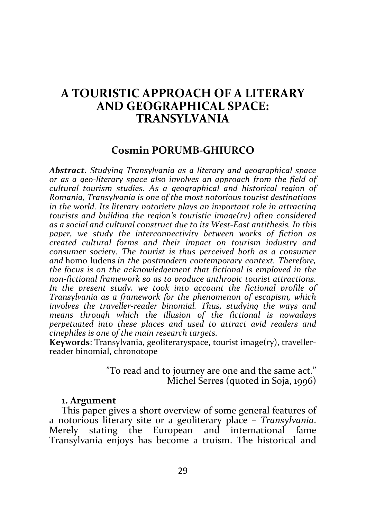# A TOURISTIC APPROACH OF A LITERARY AND GEOGRAPHICAL SPACE: TRANSYLVANIA

## Cosmin PORUMB-GHIURCO

Abstract. Studying Transylvania as a literary and geographical space or as a geo-literary space also involves an approach from the field of cultural tourism studies. As a geographical and historical region of Romania, Transylvania is one of the most notorious tourist destinations in the world. Its literary notoriety plays an important role in attracting tourists and building the region's touristic image(ry) often considered as a social and cultural construct due to its West-East antithesis. In this paper, we study the interconnectivity between works of fiction as created cultural forms and their impact on tourism industry and consumer society. The tourist is thus perceived both as a consumer and homo ludens in the postmodern contemporary context. Therefore, the focus is on the acknowledgement that fictional is employed in the non-fictional framework so as to produce anthropic tourist attractions. In the present study, we took into account the fictional profile of Transylvania as a framework for the phenomenon of escapism, which involves the traveller-reader binomial. Thus, studying the ways and means through which the illusion of the fictional is nowadays perpetuated into these places and used to attract avid readers and cinephiles is one of the main research targets.

Keywords: Transylvania, geoliteraryspace, tourist image(ry), travellerreader binomial, chronotope

> "To read and to journey are one and the same act." Michel Serres (quoted in Soja, 1996)

#### 1. Argument

This paper gives a short overview of some general features of a notorious literary site or a geoliterary place – Transylvania. Merely stating the European and international fame Transylvania enjoys has become a truism. The historical and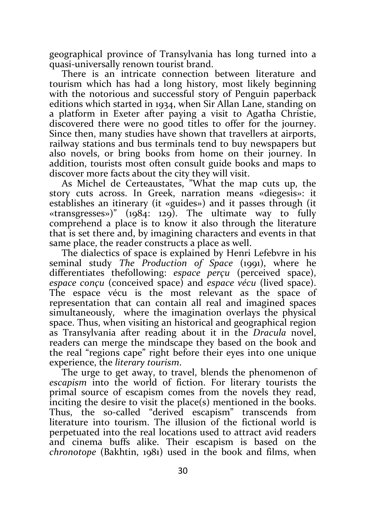geographical province of Transylvania has long turned into a quasi-universally renown tourist brand.

There is an intricate connection between literature and tourism which has had a long history, most likely beginning with the notorious and successful story of Penguin paperback editions which started in 1934, when Sir Allan Lane, standing on a platform in Exeter after paying a visit to Agatha Christie, discovered there were no good titles to offer for the journey. Since then, many studies have shown that travellers at airports, railway stations and bus terminals tend to buy newspapers but also novels, or bring books from home on their journey. In addition, tourists most often consult guide books and maps to discover more facts about the city they will visit.

As Michel de Certeaustates, "What the map cuts up, the story cuts across. In Greek, narration means «diegesis»: it establishes an itinerary (it «guides») and it passes through (it «transgresses»)" (1984: 129). The ultimate way to fully comprehend a place is to know it also through the literature that is set there and, by imagining characters and events in that same place, the reader constructs a place as well.

The dialectics of space is explained by Henri Lefebvre in his seminal study The Production of Space (1991), where he differentiates thefollowing: *espace perçu* (perceived space), espace conçu (conceived space) and espace vécu (lived space). The espace vécu is the most relevant as the space of representation that can contain all real and imagined spaces simultaneously, where the imagination overlays the physical space. Thus, when visiting an historical and geographical region as Transylvania after reading about it in the Dracula novel, readers can merge the mindscape they based on the book and the real "regions cape" right before their eyes into one unique experience, the literary tourism.

The urge to get away, to travel, blends the phenomenon of escapism into the world of fiction. For literary tourists the primal source of escapism comes from the novels they read, inciting the desire to visit the place(s) mentioned in the books. Thus, the so-called "derived escapism" transcends from literature into tourism. The illusion of the fictional world is perpetuated into the real locations used to attract avid readers and cinema buffs alike. Their escapism is based on the chronotope (Bakhtin, 1981) used in the book and films, when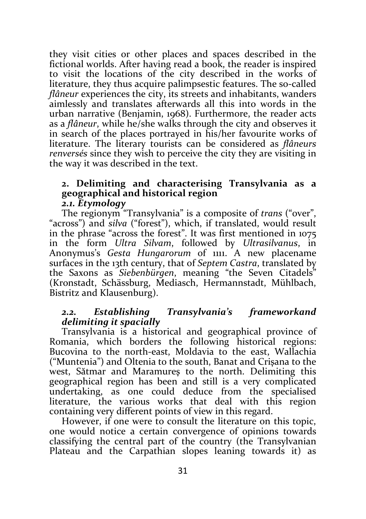they visit cities or other places and spaces described in the fictional worlds. After having read a book, the reader is inspired to visit the locations of the city described in the works of literature, they thus acquire palimpsestic features. The so-called flâneur experiences the city, its streets and inhabitants, wanders aimlessly and translates afterwards all this into words in the urban narrative (Benjamin, 1968). Furthermore, the reader acts as a flâneur, while he/she walks through the city and observes it in search of the places portrayed in his/her favourite works of literature. The literary tourists can be considered as flâneurs renversés since they wish to perceive the city they are visiting in the way it was described in the text.

### 2. Delimiting and characterising Transylvania as a geographical and historical region 2.1. Etymology

The regionym "Transylvania" is a composite of trans ("over", "across") and silva ("forest"), which, if translated, would result in the phrase "across the forest". It was first mentioned in 1075 in the form Ultra Silvam, followed by Ultrasilvanus, in Anonymus's Gesta Hungarorum of 1111. A new placename surfaces in the 13th century, that of Septem Castra, translated by the Saxons as Siebenbürgen, meaning "the Seven Citadels" (Kronstadt, Schässburg, Mediasch, Hermannstadt, Mühlbach, Bistritz and Klausenburg).

# 2.2. Establishing Transylvania's frameworkand delimiting it spacially

Transylvania is a historical and geographical province of Romania, which borders the following historical regions: Bucovina to the north-east, Moldavia to the east, Wallachia ("Muntenia") and Oltenia to the south, Banat and Crişana to the west, Sătmar and Maramureş to the north. Delimiting this geographical region has been and still is a very complicated undertaking, as one could deduce from the specialised literature, the various works that deal with this region containing very different points of view in this regard.

However, if one were to consult the literature on this topic, one would notice a certain convergence of opinions towards classifying the central part of the country (the Transylvanian Plateau and the Carpathian slopes leaning towards it) as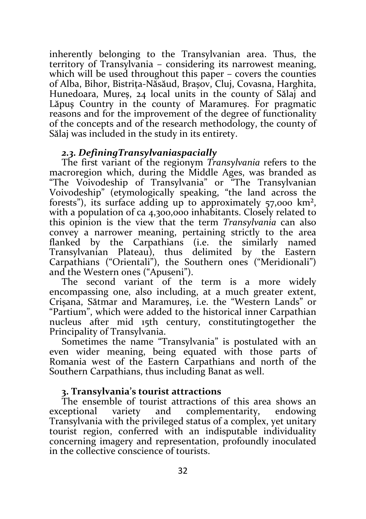inherently belonging to the Transylvanian area. Thus, the territory of Transylvania – considering its narrowest meaning, which will be used throughout this paper – covers the counties of Alba, Bihor, Bistriţa-Năsăud, Braşov, Cluj, Covasna, Harghita, Hunedoara, Mureş, 24 local units in the county of Sălaj and Lăpuş Country in the county of Maramureş. For pragmatic reasons and for the improvement of the degree of functionality of the concepts and of the research methodology, the county of Sălaj was included in the study in its entirety.

### 2.3. DefiningTransylvaniaspacially

The first variant of the regionym Transylvania refers to the macroregion which, during the Middle Ages, was branded as "The Voivodeship of Transylvania" or "The Transylvanian Voivodeship" (etymologically speaking, "the land across the forests"), its surface adding up to approximately 57,000 km², with a population of ca 4,300,000 inhabitants. Closely related to this opinion is the view that the term Transylvania can also convey a narrower meaning, pertaining strictly to the area flanked by the Carpathians (i.e. the similarly named Transylvanian Plateau), thus delimited by the Eastern Transylvanian Plateau), thus delimited Carpathians ("Orientali"), the Southern ones ("Meridionali") and the Western ones ("Apuseni").

The second variant of the term is a more widely encompassing one, also including, at a much greater extent, Crişana, Sătmar and Maramureş, i.e. the "Western Lands" or "Partium", which were added to the historical inner Carpathian nucleus after mid 15th century, constitutingtogether the Principality of Transylvania.

Sometimes the name "Transylvania" is postulated with an even wider meaning, being equated with those parts of Romania west of the Eastern Carpathians and north of the Southern Carpathians, thus including Banat as well.

# 3. Transylvania's tourist attractions

The ensemble of tourist attractions of this area shows an exceptional variety and complementarity, endowing Transylvania with the privileged status of a complex, yet unitary tourist region, conferred with an indisputable individuality concerning imagery and representation, profoundly inoculated in the collective conscience of tourists.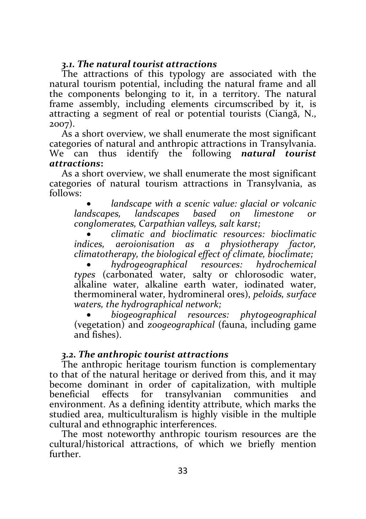# 3.1. The natural tourist attractions

The attractions of this typology are associated with the natural tourism potential, including the natural frame and all the components belonging to it, in a territory. The natural frame assembly, including elements circumscribed by it, is attracting a segment of real or potential tourists (Ciangă, N., 2007).

As a short overview, we shall enumerate the most significant categories of natural and anthropic attractions in Transylvania. We can thus identify the following natural tourist attractions:

As a short overview, we shall enumerate the most significant categories of natural tourism attractions in Transylvania, as follows:

 landscape with a scenic value: glacial or volcanic landscapes, landscapes based on limestone or conglomerates, Carpathian valleys, salt karst;

 climatic and bioclimatic resources: bioclimatic indices, aeroionisation as a physiotherapy factor, climatotherapy, the biological effect of climate, bioclimate;

 hydrogeographical resources: hydrochemical types (carbonated water, salty or chlorosodic water, alkaline water, alkaline earth water, iodinated water, thermomineral water, hydromineral ores), peloids, surface waters, the hydrographical network;

 biogeographical resources: phytogeographical (vegetation) and zoogeographical (fauna, including game and fishes).

# 3.2. The anthropic tourist attractions

The anthropic heritage tourism function is complementary to that of the natural heritage or derived from this, and it may become dominant in order of capitalization, with multiple beneficial effects for transylvanian communities and environment. As a defining identity attribute, which marks the studied area, multiculturalism is highly visible in the multiple cultural and ethnographic interferences.

The most noteworthy anthropic tourism resources are the cultural/historical attractions, of which we briefly mention further.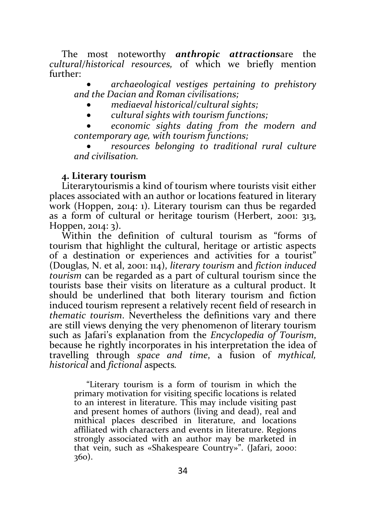The most noteworthy **anthropic attractionsare** the cultural/historical resources, of which we briefly mention further:

 archaeological vestiges pertaining to prehistory and the Dacian and Roman civilisations;

- mediaeval historical/cultural sights;
- cultural sights with tourism functions;

 economic sights dating from the modern and contemporary age, with tourism functions;

 resources belonging to traditional rural culture and civilisation.

### 4. Literary tourism

Literarytourismis a kind of tourism where tourists visit either places associated with an author or locations featured in literary work (Hoppen, 2014: 1). Literary tourism can thus be regarded as a form of cultural or heritage tourism (Herbert, 2001: 313, Hoppen, 2014: 3).

Within the definition of cultural tourism as "forms of tourism that highlight the cultural, heritage or artistic aspects of a destination or experiences and activities for a tourist" (Douglas, N. et al, 2001: 114), literary tourism and fiction induced tourism can be regarded as a part of cultural tourism since the tourists base their visits on literature as a cultural product. It should be underlined that both literary tourism and fiction induced tourism represent a relatively recent field of research in thematic tourism. Nevertheless the definitions vary and there are still views denying the very phenomenon of literary tourism such as Jafari's explanation from the Encyclopedia of Tourism, because he rightly incorporates in his interpretation the idea of travelling through space and time, a fusion of mythical, historical and fictional aspects.

"Literary tourism is a form of tourism in which the primary motivation for visiting specific locations is related to an interest in literature. This may include visiting past and present homes of authors (living and dead), real and mithical places described in literature, and locations affiliated with characters and events in literature. Regions strongly associated with an author may be marketed in that vein, such as «Shakespeare Country»". (Jafari, 2000: 360).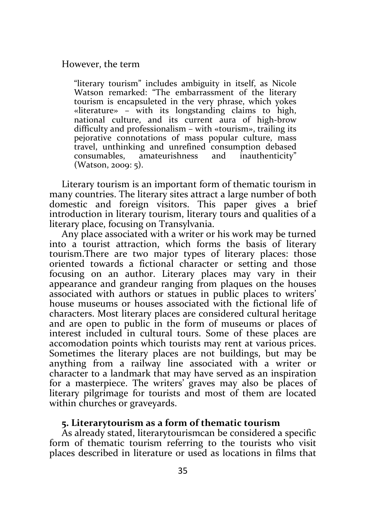However, the term

"literary tourism" includes ambiguity in itself, as Nicole Watson remarked: "The embarrassment of the literary tourism is encapsuleted in the very phrase, which yokes «literature» – with its longstanding claims to high, national culture, and its current aura of high-brow difficulty and professionalism – with «tourism», trailing its pejorative connotations of mass popular culture, mass travel, unthinking and unrefined consumption debased consumables, amateurishness and inauthenticity" (Watson, 2009: 5).

Literary tourism is an important form of thematic tourism in many countries. The literary sites attract a large number of both domestic and foreign visitors. This paper gives a brief introduction in literary tourism, literary tours and qualities of a literary place, focusing on Transylvania.

Any place associated with a writer or his work may be turned into a tourist attraction, which forms the basis of literary tourism.There are two major types of literary places: those oriented towards a fictional character or setting and those focusing on an author. Literary places may vary in their appearance and grandeur ranging from plaques on the houses associated with authors or statues in public places to writers' house museums or houses associated with the fictional life of characters. Most literary places are considered cultural heritage and are open to public in the form of museums or places of interest included in cultural tours. Some of these places are accomodation points which tourists may rent at various prices. Sometimes the literary places are not buildings, but may be anything from a railway line associated with a writer or character to a landmark that may have served as an inspiration for a masterpiece. The writers' graves may also be places of literary pilgrimage for tourists and most of them are located within churches or graveyards.

### 5. Literarytourism as a form of thematic tourism

As already stated, literarytourismcan be considered a specific form of thematic tourism referring to the tourists who visit places described in literature or used as locations in films that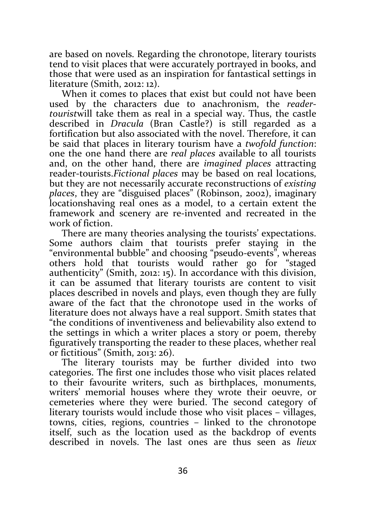are based on novels. Regarding the chronotope, literary tourists tend to visit places that were accurately portrayed in books, and those that were used as an inspiration for fantastical settings in literature (Smith, 2012: 12).

When it comes to places that exist but could not have been used by the characters due to anachronism, the readertouristwill take them as real in a special way. Thus, the castle described in Dracula (Bran Castle?) is still regarded as a fortification but also associated with the novel. Therefore, it can be said that places in literary tourism have a twofold function: one the one hand there are real places available to all tourists and, on the other hand, there are imagined places attracting reader-tourists.Fictional places may be based on real locations, but they are not necessarily accurate reconstructions of existing places, they are "disguised places" (Robinson, 2002), imaginary locationshaving real ones as a model, to a certain extent the framework and scenery are re-invented and recreated in the work of fiction.

There are many theories analysing the tourists' expectations. Some authors claim that tourists prefer staying in the "environmental bubble" and choosing "pseudo-events", whereas others hold that tourists would rather go for "staged authenticity" (Smith, 2012: 15). In accordance with this division, it can be assumed that literary tourists are content to visit places described in novels and plays, even though they are fully aware of the fact that the chronotope used in the works of literature does not always have a real support. Smith states that "the conditions of inventiveness and believability also extend to the settings in which a writer places a story or poem, thereby figuratively transporting the reader to these places, whether real or fictitious" (Smith, 2013: 26).

The literary tourists may be further divided into two categories. The first one includes those who visit places related to their favourite writers, such as birthplaces, monuments, writers' memorial houses where they wrote their oeuvre, or cemeteries where they were buried. The second category of literary tourists would include those who visit places – villages, towns, cities, regions, countries – linked to the chronotope itself, such as the location used as the backdrop of events described in novels. The last ones are thus seen as lieux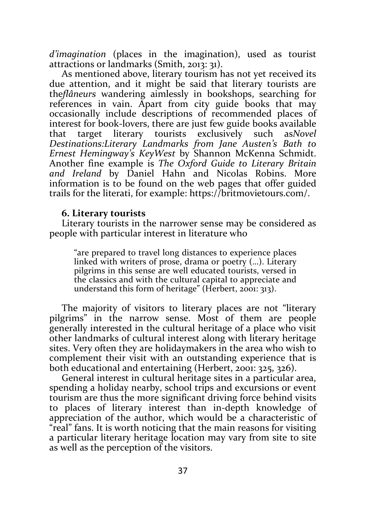d'imagination (places in the imagination), used as tourist attractions or landmarks (Smith, 2013: 31).

As mentioned above, literary tourism has not yet received its due attention, and it might be said that literary tourists are theflâneurs wandering aimlessly in bookshops, searching for references in vain. Apart from city guide books that may occasionally include descriptions of recommended places of interest for book-lovers, there are just few guide books available that target literary tourists exclusively such asNovel Destinations:Literary Landmarks from Jane Austen's Bath to Ernest Hemingway's KeyWest by Shannon McKenna Schmidt. Another fine example is The Oxford Guide to Literary Britain and Ireland by Daniel Hahn and Nicolas Robins. More information is to be found on the web pages that offer guided trails for the literati, for example: https://britmovietours.com/.

#### 6. Literary tourists

Literary tourists in the narrower sense may be considered as people with particular interest in literature who

"are prepared to travel long distances to experience places linked with writers of prose, drama or poetry (…). Literary pilgrims in this sense are well educated tourists, versed in the classics and with the cultural capital to appreciate and understand this form of heritage" (Herbert, 2001: 313).

The majority of visitors to literary places are not "literary pilgrims" in the narrow sense. Most of them are people generally interested in the cultural heritage of a place who visit other landmarks of cultural interest along with literary heritage sites. Very often they are holidaymakers in the area who wish to complement their visit with an outstanding experience that is both educational and entertaining (Herbert, 2001: 325, 326).

General interest in cultural heritage sites in a particular area, spending a holiday nearby, school trips and excursions or event tourism are thus the more significant driving force behind visits to places of literary interest than in-depth knowledge of appreciation of the author, which would be a characteristic of "real" fans. It is worth noticing that the main reasons for visiting a particular literary heritage location may vary from site to site as well as the perception of the visitors.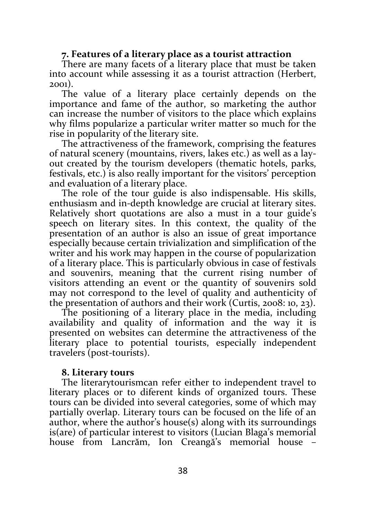### 7. Features of a literary place as a tourist attraction

There are many facets of a literary place that must be taken into account while assessing it as a tourist attraction (Herbert, 2001).

The value of a literary place certainly depends on the importance and fame of the author, so marketing the author can increase the number of visitors to the place which explains why films popularize a particular writer matter so much for the rise in popularity of the literary site.

The attractiveness of the framework, comprising the features of natural scenery (mountains, rivers, lakes etc.) as well as a layout created by the tourism developers (thematic hotels, parks, festivals, etc.) is also really important for the visitors' perception and evaluation of a literary place.

The role of the tour guide is also indispensable. His skills, enthusiasm and in-depth knowledge are crucial at literary sites. Relatively short quotations are also a must in a tour guide's speech on literary sites. In this context, the quality of the presentation of an author is also an issue of great importance especially because certain trivialization and simplification of the writer and his work may happen in the course of popularization of a literary place. This is particularly obvious in case of festivals and souvenirs, meaning that the current rising number of visitors attending an event or the quantity of souvenirs sold may not correspond to the level of quality and authenticity of the presentation of authors and their work (Curtis, 2008: 10, 23).

The positioning of a literary place in the media, including availability and quality of information and the way it is presented on websites can determine the attractiveness of the literary place to potential tourists, especially independent travelers (post-tourists).

#### 8. Literary tours

The literarytourismcan refer either to independent travel to literary places or to diferent kinds of organized tours. These tours can be divided into several categories, some of which may partially overlap. Literary tours can be focused on the life of an author, where the author's house(s) along with its surroundings is(are) of particular interest to visitors (Lucian Blaga's memorial house from Lancrăm, Ion Creangă's memorial house –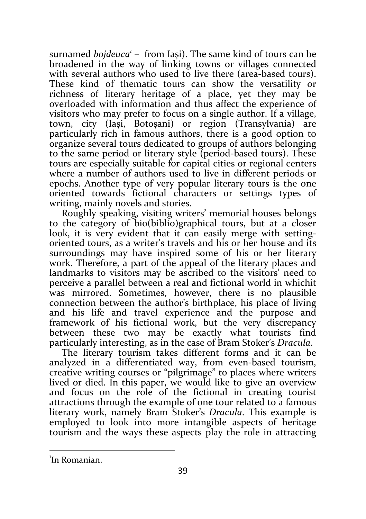surnamed  $bojdeuca<sup>1</sup>$  – from Iași). The same kind of tours can be broadened in the way of linking towns or villages connected with several authors who used to live there (area-based tours). These kind of thematic tours can show the versatility or richness of literary heritage of a place, yet they may be overloaded with information and thus affect the experience of visitors who may prefer to focus on a single author. If a village, town, city (Iași, Botoșani) or region (Transylvania) are particularly rich in famous authors, there is a good option to organize several tours dedicated to groups of authors belonging to the same period or literary style (period-based tours). These tours are especially suitable for capital cities or regional centers where a number of authors used to live in different periods or epochs. Another type of very popular literary tours is the one oriented towards fictional characters or settings types of writing, mainly novels and stories.

Roughly speaking, visiting writers' memorial houses belongs to the category of bio(biblio)graphical tours, but at a closer look, it is very evident that it can easily merge with settingoriented tours, as a writer's travels and his or her house and its surroundings may have inspired some of his or her literary work. Therefore, a part of the appeal of the literary places and landmarks to visitors may be ascribed to the visitors' need to perceive a parallel between a real and fictional world in whichit was mirrored. Sometimes, however, there is no plausible connection between the author's birthplace, his place of living and his life and travel experience and the purpose and framework of his fictional work, but the very discrepancy between these two may be exactly what tourists find particularly interesting, as in the case of Bram Stoker's Dracula.

The literary tourism takes different forms and it can be analyzed in a differentiated way, from even-based tourism, creative writing courses or "pilgrimage" to places where writers lived or died. In this paper, we would like to give an overview and focus on the role of the fictional in creating tourist attractions through the example of one tour related to a famous literary work, namely Bram Stoker's Dracula. This example is employed to look into more intangible aspects of heritage tourism and the ways these aspects play the role in attracting

-

<sup>1</sup> In Romanian.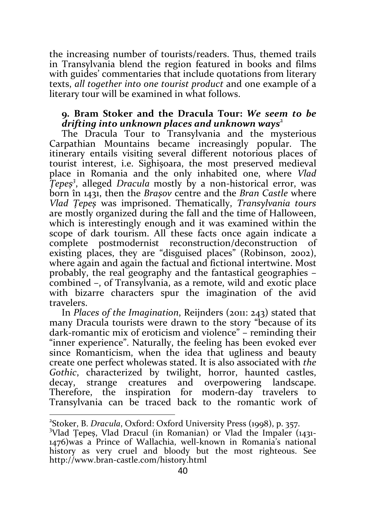the increasing number of tourists/readers. Thus, themed trails in Transylvania blend the region featured in books and films with guides' commentaries that include quotations from literary texts, all together into one tourist product and one example of a literary tour will be examined in what follows.

### 9. Bram Stoker and the Dracula Tour: We seem to be drifting into unknown places and unknown ways<sup>2</sup>

The Dracula Tour to Transylvania and the mysterious Carpathian Mountains became increasingly popular. The itinerary entails visiting several different notorious places of tourist interest, i.e. Sighișoara, the most preserved medieval place in Romania and the only inhabited one, where Vlad Tepeș<sup>3</sup>, alleged Dracula mostly by a non-historical error, was born în 1431, then the Brașov centre and the Bran Castle where Vlad Țepeș was imprisoned. Thematically, Transylvania tours are mostly organized during the fall and the time of Halloween, which is interestingly enough and it was examined within the scope of dark tourism. All these facts once again indicate a complete postmodernist reconstruction/deconstruction of existing places, they are "disguised places" (Robinson, 2002), where again and again the factual and fictional intertwine. Most probably, the real geography and the fantastical geographies – combined –, of Transylvania, as a remote, wild and exotic place with bizarre characters spur the imagination of the avid travelers.

In Places of the Imagination, Reijnders (2011: 243) stated that many Dracula tourists were drawn to the story "because of its dark-romantic mix of eroticism and violence" – reminding their "inner experience". Naturally, the feeling has been evoked ever since Romanticism, when the idea that ugliness and beauty create one perfect wholewas stated. It is also associated with the Gothic, characterized by twilight, horror, haunted castles, decay, strange creatures and overpowering landscape. Therefore, the inspiration for modern-day travelers to Transylvania can be traced back to the romantic work of

-

<sup>&</sup>lt;sup>2</sup>Stoker, B. Dracula, Oxford: Oxford University Press (1998), p. 357.

<sup>3</sup>Vlad Țepeș, Vlad Dracul (in Romanian) or Vlad the Impaler (1431- 1476)was a Prince of Wallachia, well-known in Romania's national history as very cruel and bloody but the most righteous. See http://www.bran-castle.com/history.html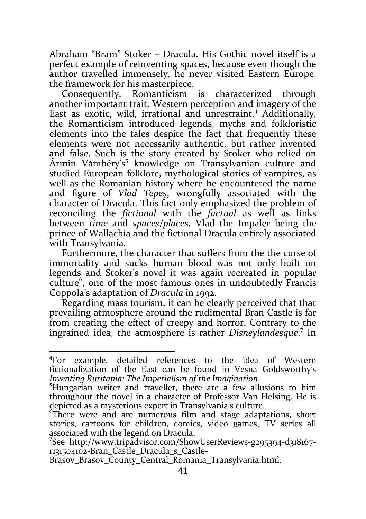Abraham "Bram" Stoker – Dracula. His Gothic novel itself is a perfect example of reinventing spaces, because even though the author travelled immensely, he never visited Eastern Europe, the framework for his masterpiece.

Consequently, Romanticism is characterized through another important trait, Western perception and imagery of the East as exotic, wild, irrational and unrestraint.<sup>4</sup> Additionally, the Romanticism introduced legends, myths and folkloristic elements into the tales despite the fact that frequently these elements were not necessarily authentic, but rather invented and false. Such is the story created by Stoker who relied on Ármin Vámbéry's<sup>5</sup> knowledge on Transylvanian culture and studied European folklore, mythological stories of vampires, as well as the Romanian history where he encountered the name and figure of Vlad Țepeș, wrongfully associated with the character of Dracula. This fact only emphasized the problem of reconciling the *fictional* with the *factual* as well as links between time and spaces/places, Vlad the Impaler being the prince of Wallachia and the fictional Dracula entirely associated with Transylvania.

Furthermore, the character that suffers from the the curse of immortality and sucks human blood was not only built on legends and Stoker's novel it was again recreated in popular culture<sup>6</sup>, one of the most famous ones in undoubtedly Francis Coppola's adaptation of Dracula in 1992.

Regarding mass tourism, it can be clearly perceived that that prevailing atmosphere around the rudimental Bran Castle is far from creating the effect of creepy and horror. Contrary to the ingrained idea, the atmosphere is rather Disneylandesque.<sup>7</sup> In

-

Brasov Brasov County Central Romania Transylvania.html.

<sup>4</sup>For example, detailed references to the idea of Western fictionalization of the East can be found in Vesna Goldsworthy's Inventing Ruritania: The Imperialism of the Imagination.

<sup>5</sup>Hungarian writer and traveller, there are a few allusions to him throughout the novel in a character of Professor Van Helsing. He is depicted as a mysterious expert in Transylvania's culture.

<sup>6</sup>There were and are numerous film and stage adaptations, short stories, cartoons for children, comics, video games, TV series all associated with the legend on Dracula.

<sup>7</sup>See http://www.tripadvisor.com/ShowUserReviews-g295394-d318167 r131504102-Bran\_Castle\_Dracula\_s\_Castle-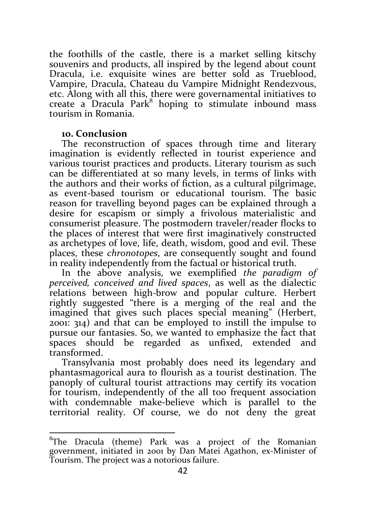the foothills of the castle, there is a market selling kitschy souvenirs and products, all inspired by the legend about count Dracula, i.e. exquisite wines are better sold as Trueblood, Vampire, Dracula, Chateau du Vampire Midnight Rendezvous, etc. Along with all this, there were governamental initiatives to create a Dracula Park<sup>8</sup> hoping to stimulate inbound mass tourism in Romania.

### 10. Conclusion

 $\overline{a}$ 

The reconstruction of spaces through time and literary imagination is evidently reflected in tourist experience and various tourist practices and products. Literary tourism as such can be differentiated at so many levels, in terms of links with the authors and their works of fiction, as a cultural pilgrimage, as event-based tourism or educational tourism. The basic reason for travelling beyond pages can be explained through a desire for escapism or simply a frivolous materialistic and consumerist pleasure. The postmodern traveler/reader flocks to the places of interest that were first imaginatively constructed as archetypes of love, life, death, wisdom, good and evil. These places, these chronotopes, are consequently sought and found in reality independently from the factual or historical truth.

In the above analysis, we exemplified the paradigm of perceived, conceived and lived spaces, as well as the dialectic relations between high-brow and popular culture. Herbert rightly suggested "there is a merging of the real and the imagined that gives such places special meaning" (Herbert, 2001: 314) and that can be employed to instill the impulse to pursue our fantasies. So, we wanted to emphasize the fact that spaces should be regarded as unfixed, extended and transformed.

Transylvania most probably does need its legendary and phantasmagorical aura to flourish as a tourist destination. The panoply of cultural tourist attractions may certify its vocation for tourism, independently of the all too frequent association with condemnable make-believe which is parallel to the territorial reality. Of course, we do not deny the great

<sup>&</sup>lt;sup>8</sup>The Dracula (theme) Park was a project of the Romanian government, initiated in 2001 by Dan Matei Agathon, ex-Minister of Tourism. The project was a notorious failure.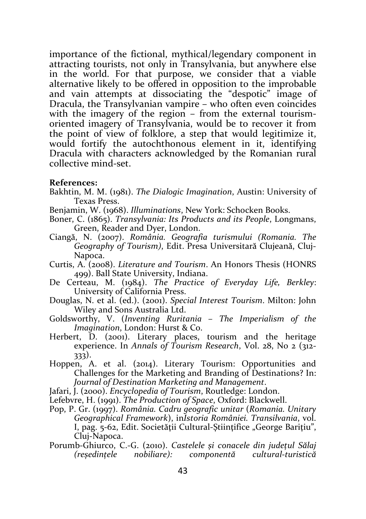importance of the fictional, mythical/legendary component in attracting tourists, not only in Transylvania, but anywhere else in the world. For that purpose, we consider that a viable alternative likely to be offered in opposition to the improbable and vain attempts at dissociating the "despotic" image of Dracula, the Transylvanian vampire – who often even coincides with the imagery of the region – from the external tourismoriented imagery of Transylvania, would be to recover it from the point of view of folklore, a step that would legitimize it, would fortify the autochthonous element in it, identifying Dracula with characters acknowledged by the Romanian rural collective mind-set.

#### References:

- Bakhtin, M. M. (1981). The Dialogic Imagination, Austin: University of Texas Press.
- Benjamin, W. (1968). Illuminations, New York: Schocken Books.
- Boner, C. (1865). Transylvania: Its Products and its People, Longmans, Green, Reader and Dyer, London.
- Ciangă, N. (2007). România. Geografia turismului (Romania. The Geography of Tourism), Edit. Presa Universitară Clujeană, Cluj-Napoca.
- Curtis, A. (2008). Literature and Tourism. An Honors Thesis (HONRS 499). Ball State University, Indiana.
- De Certeau, M. (1984). The Practice of Everyday Life, Berkley: University of California Press.
- Douglas, N. et al. (ed.). (2001). Special Interest Tourism. Milton: John Wiley and Sons Australia Ltd.
- Goldsworthy, V. (Inventing Ruritania The Imperialism of the Imagination, London: Hurst & Co.
- Herbert, D. (2001). Literary places, tourism and the heritage experience. In Annals of Tourism Research, Vol. 28, No 2 (312- 333).
- Hoppen, A. et al. (2014). Literary Tourism: Opportunities and Challenges for the Marketing and Branding of Destinations? In: Journal of Destination Marketing and Management.
- Jafari, J. (2000). Encyclopedia of Tourism, Routledge: London.
- Lefebvre, H. (1991). The Production of Space, Oxford: Blackwell.
- Pop, P. Gr. (1997). România. Cadru geografic unitar (Romania. Unitary Geographical Framework), inIstoria României. Transilvania, vol. I, pag. 5-62, Edit. Societății Cultural-Stiințifice "George Barițiu", Cluj-Napoca.
- Porumb-Ghiurco, C.-G. (2010). Castelele și conacele din județul Sălaj (reședințele nobiliare): componentă cultural-turistică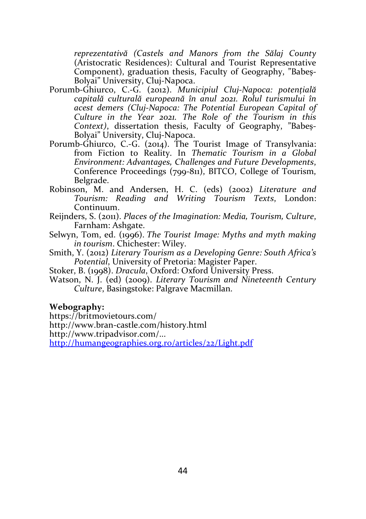reprezentativă (Castels and Manors from the Sălaj County (Aristocratic Residences): Cultural and Tourist Representative Component), graduation thesis, Faculty of Geography, "Babeș-Bolyai" University, Cluj-Napoca.

- Porumb-Ghiurco, C.-G. (2012). Municipiul Cluj-Napoca: potențială capitală culturală europeană în anul 2021. Rolul turismului în acest demers (Cluj-Napoca: The Potential European Capital of Culture in the Year 2021. The Role of the Tourism in this Context), dissertation thesis, Faculty of Geography, "Babeș-Bolyai" University, Cluj-Napoca.
- Porumb-Ghiurco, C.-G. (2014). The Tourist Image of Transylvania: from Fiction to Reality. In Thematic Tourism in a Global Environment: Advantages, Challenges and Future Developments, Conference Proceedings (799-811), BITCO, College of Tourism, Belgrade.
- Robinson, M. and Andersen, H. C. (eds) (2002) Literature and Tourism: Reading and Writing Tourism Texts, London: Continuum.
- Reijnders, S. (2011). Places of the Imagination: Media, Tourism, Culture, Farnham: Ashgate.
- Selwyn, Tom, ed. (1996). The Tourist Image: Myths and myth making in tourism. Chichester: Wiley.
- Smith, Y. (2012) Literary Tourism as a Developing Genre: South Africa's Potential, University of Pretoria: Magister Paper.

Stoker, B. (1998). Dracula, Oxford: Oxford University Press.

Watson, N. J. (ed) (2009). Literary Tourism and Nineteenth Century Culture, Basingstoke: Palgrave Macmillan.

#### Webography:

https://britmovietours.com/

http://www.bran-castle.com/history.html

http://www.tripadvisor.com/...

http://humangeographies.org.ro/articles/22/Light.pdf